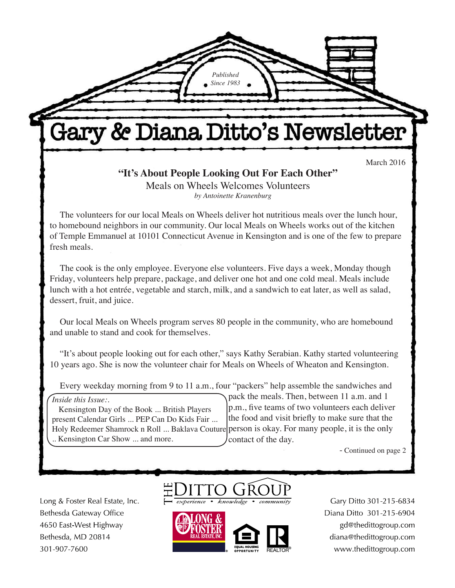# Gary & Diana Ditto's Newsletter

*Published Since 1983*

March 2016

**"It's About People Looking Out For Each Other"** Meals on Wheels Welcomes Volunteers *by Antoinette Kranenburg*

The volunteers for our local Meals on Wheels deliver hot nutritious meals over the lunch hour, to homebound neighbors in our community. Our local Meals on Wheels works out of the kitchen of Temple Emmanuel at 10101 Connecticut Avenue in Kensington and is one of the few to prepare fresh meals.

The cook is the only employee. Everyone else volunteers. Five days a week, Monday though Friday, volunteers help prepare, package, and deliver one hot and one cold meal. Meals include lunch with a hot entrée, vegetable and starch, milk, and a sandwich to eat later, as well as salad, dessert, fruit, and juice.

Our local Meals on Wheels program serves 80 people in the community, who are homebound and unable to stand and cook for themselves.

"It's about people looking out for each other," says Kathy Serabian. Kathy started volunteering 10 years ago. She is now the volunteer chair for Meals on Wheels of Wheaton and Kensington.

Every weekday morning from 9 to 11 a.m., four "packers" help assemble the sandwiches and

Holy Redeemer Shamrock n Roll ... Baklava Couture person is okay. For many people, it is the only *Inside this Issue:.* Kensington Day of the Book ... British Players present Calendar Girls ... PEP Can Do Kids Fair ... .. Kensington Car Show ... and more.

pack the meals. Then, between 11 a.m. and 1 p.m., five teams of two volunteers each deliver the food and visit briefly to make sure that the contact of the day.

- Continued on page 2

Long & Foster Real Estate, Inc. Bethesda Gateway Office 4650 East-West Highway Bethesda, MD 20814 301-907-7600





Gary Ditto 301-215-6834 Diana Ditto 301-215-6904 gd@thedittogroup.com diana@thedittogroup.com www.thedittogroup.com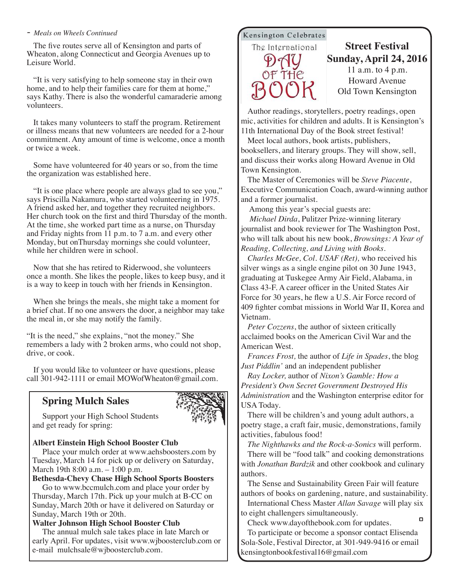#### *- Meals on Wheels Continued*

The five routes serve all of Kensington and parts of Wheaton, along Connecticut and Georgia Avenues up to Leisure World.

"It is very satisfying to help someone stay in their own home, and to help their families care for them at home," says Kathy. There is also the wonderful camaraderie among volunteers.

It takes many volunteers to staff the program. Retirement or illness means that new volunteers are needed for a 2-hour commitment. Any amount of time is welcome, once a month or twice a week.

Some have volunteered for 40 years or so, from the time the organization was established here.

"It is one place where people are always glad to see you," says Priscilla Nakamura, who started volunteering in 1975. A friend asked her, and together they recruited neighbors. Her church took on the first and third Thursday of the month. At the time, she worked part time as a nurse, on Thursday and Friday nights from 11 p.m. to 7 a.m. and every other Monday, but onThursday mornings she could volunteer, while her children were in school.

Now that she has retired to Riderwood, she volunteers once a month. She likes the people, likes to keep busy, and it is a way to keep in touch with her friends in Kensington.

When she brings the meals, she might take a moment for a brief chat. If no one answers the door, a neighbor may take the meal in, or she may notify the family.

"It is the need," she explains, "not the money." She remembers a lady with 2 broken arms, who could not shop, drive, or cook.

If you would like to volunteer or have questions, please call 301-942-1111 or email MOWofWheaton@gmail.com.

### **Spring Mulch Sales**



Support your High School Students and get ready for spring:

### **Albert Einstein High School Booster Club**

Place your mulch order at www.aehsboosters.com by Tuesday, March 14 for pick up or delivery on Saturday, March 19th 8:00 a.m. – 1:00 p.m.

**Bethesda-Chevy Chase High School Sports Boosters** 

Go to www.bccmulch.com and place your order by Thursday, March 17th. Pick up your mulch at B-CC on Sunday, March 20th or have it delivered on Saturday or Sunday, March 19th or 20th.

#### **Walter Johnson High School Booster Club**

The annual mulch sale takes place in late March or early April. For updates, visit www.wjboosterclub.com or e-mail mulchsale@wjboosterclub.com.

### Kensington Celebrates

The International

### **Street Festival Sunday, April 24, 2016** 11 a.m. to 4 p.m. Howard Avenue Old Town Kensington

Author readings, storytellers, poetry readings, open mic, activities for children and adults. It is Kensington's 11th International Day of the Book street festival!

Meet local authors, book artists, publishers, booksellers, and literary groups. They will show, sell, and discuss their works along Howard Avenue in Old Town Kensington.

The Master of Ceremonies will be *Steve Piacente*, Executive Communication Coach, award-winning author and a former journalist.

Among this year's special guests are:

*Michael Dirda*, Pulitzer Prize-winning literary journalist and book reviewer for The Washington Post, who will talk about his new book, *Browsings: A Year of Reading, Collecting, and Living with Books*.

*Charles McGee, Col. USAF (Ret),* who received his silver wings as a single engine pilot on 30 June 1943, graduating at Tuskegee Army Air Field, Alabama, in Class 43-F. A career officer in the United States Air Force for 30 years, he flew a U.S. Air Force record of 409 fighter combat missions in World War II, Korea and Vietnam.

*Peter Cozzens*, the author of sixteen critically acclaimed books on the American Civil War and the American West.

*Frances Frost,* the author of *Life in Spades*, the blog *Just Piddlin'* and an independent publisher

*Ray Locker,* author of *Nixon's Gamble: How a President's Own Secret Government Destroyed His Administration* and the Washington enterprise editor for USA Today.

There will be children's and young adult authors, a poetry stage, a craft fair, music, demonstrations, family activities, fabulous food!

*The Nighthawks and the Rock-a-Sonics* will perform. There will be "food talk" and cooking demonstrations with *Jonathan Bardzik* and other cookbook and culinary authors.

The Sense and Sustainability Green Fair will feature authors of books on gardening, nature, and sustainability. International Chess Master *Allan Savage* will play six

to eight challengers simultaneously.  $\Box$ 

Check www.dayofthebook.com for updates. To participate or become a sponsor contact Elisenda Sola-Sole, Festival Director, at 301-949-9416 or email kensingtonbookfestival16@gmail.com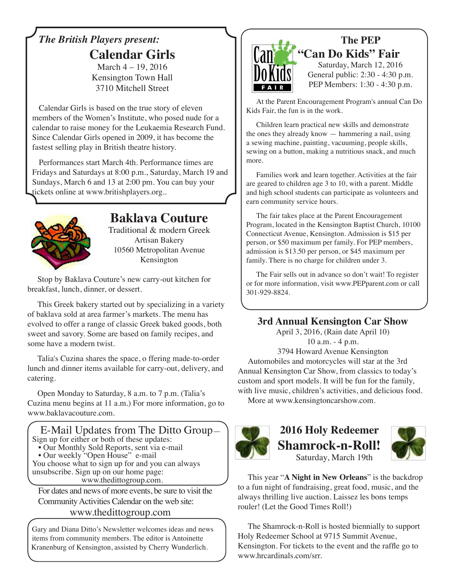# *The British Players present:* **Calendar Girls**

March 4 – 19, 2016 Kensington Town Hall 3710 Mitchell Street

Calendar Girls is based on the true story of eleven members of the Women's Institute, who posed nude for a calendar to raise money for the Leukaemia Research Fund. Since Calendar Girls opened in 2009, it has become the fastest selling play in British theatre history.

Performances start March 4th. Performance times are Fridays and Saturdays at 8:00 p.m., Saturday, March 19 and Sundays, March 6 and 13 at 2:00 pm. You can buy your tickets online at www.britishplayers.org..



# **Baklava Couture**

Traditional & modern Greek Artisan Bakery 10560 Metropolitan Avenue Kensington

Stop by Baklava Couture's new carry-out kitchen for breakfast, lunch, dinner, or dessert.

This Greek bakery started out by specializing in a variety of baklava sold at area farmer's markets. The menu has evolved to offer a range of classic Greek baked goods, both sweet and savory. Some are based on family recipes, and some have a modern twist.

Talia's Cuzina shares the space, o ffering made-to-order lunch and dinner items available for carry-out, delivery, and catering.

Open Monday to Saturday, 8 a.m. to 7 p.m. (Talia's Cuzina menu begins at 11 a.m.) For more information, go to www.baklavacouture.com.



Community Activities Calendar on the web site:

### www.thedittogroup.com

Gary and Diana Ditto's Newsletter welcomes ideas and news items from community members. The editor is Antoinette Kranenburg of Kensington, assisted by Cherry Wunderlich.



# **The PEP "Can Do Kids" Fair**

Saturday, March 12, 2016 General public: 2:30 - 4:30 p.m. PEP Members: 1:30 - 4:30 p.m.

At the Parent Encouragement Program's annual Can Do Kids Fair, the fun is in the work.

Children learn practical new skills and demonstrate the ones they already know — hammering a nail, using a sewing machine, painting, vacuuming, people skills, sewing on a button, making a nutritious snack, and much more.

Families work and learn together. Activities at the fair are geared to children age 3 to 10, with a parent. Middle and high school students can participate as volunteers and earn community service hours.

The fair takes place at the Parent Encouragement Program, located in the Kensington Baptist Church, 10100 Connecticut Avenue, Kensington. Admission is \$15 per person, or \$50 maximum per family. For PEP members, admission is \$13.50 per person, or \$45 maximum per family. There is no charge for children under 3.

The Fair sells out in advance so don't wait! To register or for more information, visit www.PEPparent.com or call 301-929-8824.

# **3rd Annual Kensington Car Show**

April 3, 2016, (Rain date April 10) 10 a.m. - 4 p.m. 3794 Howard Avenue Kensington

Automobiles and motorcycles will star at the 3rd Annual Kensington Car Show, from classics to today's custom and sport models. It will be fun for the family, with live music, children's activities, and delicious food.

More at www.kensingtoncarshow.com.



# **2016 Holy Redeemer Shamrock-n-Roll!** Saturday, March 19th



This year "**A Night in New Orleans**" is the backdrop to a fun night of fundraising, great food, music, and the always thrilling live auction. Laissez les bons temps rouler! (Let the Good Times Roll!)

The Shamrock-n-Roll is hosted biennially to support Holy Redeemer School at 9715 Summit Avenue, Kensington. For tickets to the event and the raffle go to www.hrcardinals.com/srr.